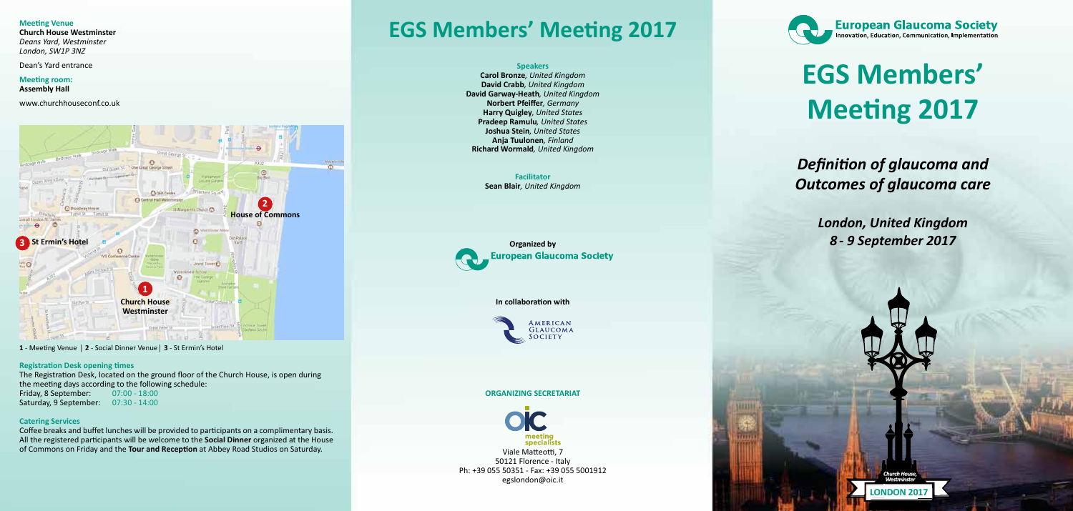**LONDON 2017**

WHIT

#### **Meeting Venue**

**Church House Westminster** *Deans Yard, Westminster London, SW1P 3NZ*

Dean's Yard entrance

**Meeting room: Assembly Hall**

www.churchhouseconf.co.uk

### **Registration Desk opening times**

The Registration Desk, located on the ground floor of the Church House, is open during the meeting days according to the following schedule: Friday, 8 September: 07:00 - 18:00

Saturday, 9 September: 07:30 - 14:00

#### **Catering Services**

Coffee breaks and buffet lunches will be provided to participants on a complimentary basis. All the registered participants will be welcome to the **Social Dinner** organized at the House of Commons on Friday and the **Tour and Reception** at Abbey Road Studios on Saturday.

## **EGS Members' Meeting 2017**

### **Speakers**

**Carol Bronze***, United Kingdom* **David Crabb***, United Kingdom* **David Garway-Heath***, United Kingdom* **Norbert Pfeiffer***, Germany* **Harry Quigley***, United States* **Pradeep Ramulu***, United States* **Joshua Stein***, United States* **Anja Tuulonen***, Finland* **Richard Wormald***, United Kingdom*

> **Facilitator Sean Blair***, United Kingdom*



#### **In collaboration with**



#### **ORGANIZING SECRETARIAT**



Viale Matteotti, 7 50121 Florence - Italy Ph: +39 055 50351 - Fax: +39 055 5001912 egslondon@oic.it



**1** - Meeting Venue | **2** - Social Dinner Venue| **3** - St Ermin's Hotel



# **EGS Members' Meeting 2017**

### *Definition of glaucoma and Outcomes of glaucoma care*

*London, United Kingdom 8 - 9 September 2017*